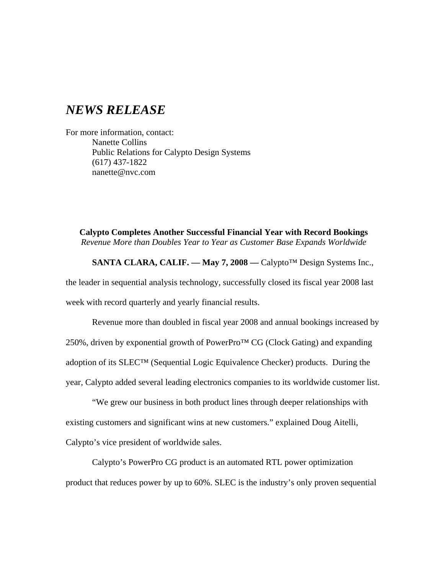## *NEWS RELEASE*

For more information, contact: Nanette Collins Public Relations for Calypto Design Systems (617) 437-1822 nanette@nvc.com

**Calypto Completes Another Successful Financial Year with Record Bookings** *Revenue More than Doubles Year to Year as Customer Base Expands Worldwide*

**SANTA CLARA, CALIF. –– May 7, 2008 ––** Calypto™ Design Systems Inc., the leader in sequential analysis technology, successfully closed its fiscal year 2008 last week with record quarterly and yearly financial results.

Revenue more than doubled in fiscal year 2008 and annual bookings increased by 250%, driven by exponential growth of PowerPro™ CG (Clock Gating) and expanding adoption of its SLEC™ (Sequential Logic Equivalence Checker) products. During the year, Calypto added several leading electronics companies to its worldwide customer list.

"We grew our business in both product lines through deeper relationships with existing customers and significant wins at new customers." explained Doug Aitelli, Calypto's vice president of worldwide sales.

Calypto's PowerPro CG product is an automated RTL power optimization product that reduces power by up to 60%. SLEC is the industry's only proven sequential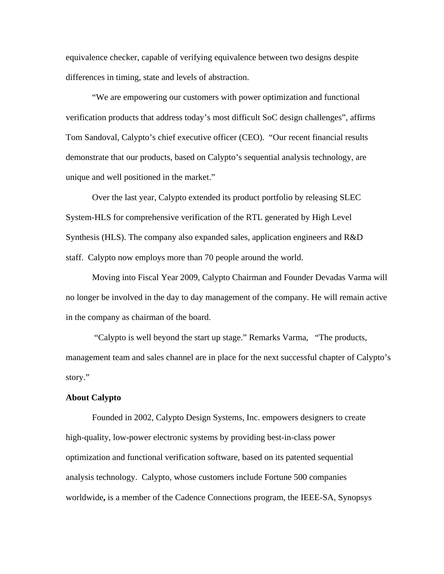equivalence checker, capable of verifying equivalence between two designs despite differences in timing, state and levels of abstraction.

"We are empowering our customers with power optimization and functional verification products that address today's most difficult SoC design challenges", affirms Tom Sandoval, Calypto's chief executive officer (CEO). "Our recent financial results demonstrate that our products, based on Calypto's sequential analysis technology, are unique and well positioned in the market."

Over the last year, Calypto extended its product portfolio by releasing SLEC System-HLS for comprehensive verification of the RTL generated by High Level Synthesis (HLS). The company also expanded sales, application engineers and R&D staff. Calypto now employs more than 70 people around the world.

Moving into Fiscal Year 2009, Calypto Chairman and Founder Devadas Varma will no longer be involved in the day to day management of the company. He will remain active in the company as chairman of the board.

"Calypto is well beyond the start up stage." Remarks Varma, "The products, management team and sales channel are in place for the next successful chapter of Calypto's story."

## **About Calypto**

Founded in 2002, Calypto Design Systems, Inc. empowers designers to create high-quality, low-power electronic systems by providing best-in-class power optimization and functional verification software, based on its patented sequential analysis technology. Calypto, whose customers include Fortune 500 companies worldwide**,** is a member of the Cadence Connections program, the IEEE-SA, Synopsys